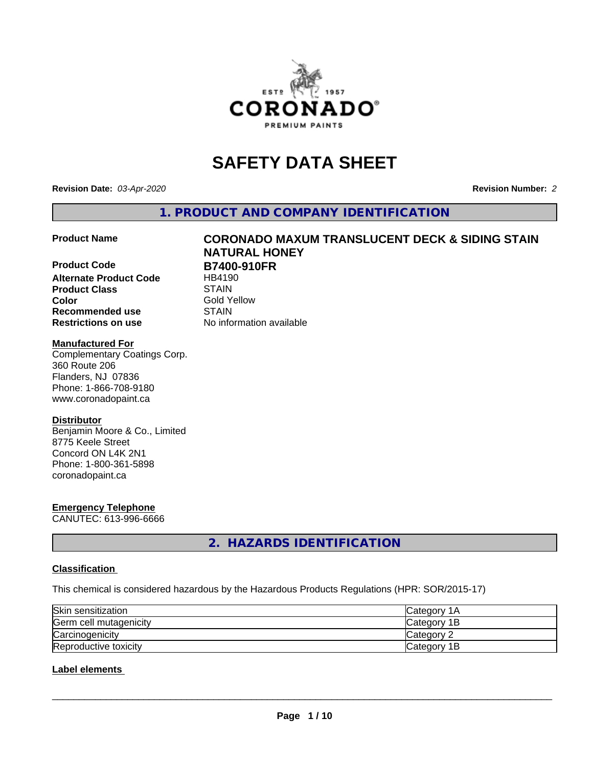

# **SAFETY DATA SHEET**

**Revision Date:** *03-Apr-2020* **Revision Number:** *2*

**1. PRODUCT AND COMPANY IDENTIFICATION**

**Product Code B7400-910FR Alternate Product Code** HB4190 **Product Class STAIN STAIN**<br> **Color** Gold Y **Recommended use STAIN Restrictions on use** No information available

# **Product Name CORONADO MAXUM TRANSLUCENT DECK & SIDING STAIN NATURAL HONEY**

**Gold Yellow** 

#### **Manufactured For**

Complementary Coatings Corp. 360 Route 206 Flanders, NJ 07836 Phone: 1-866-708-9180 www.coronadopaint.ca

#### **Distributor**

Benjamin Moore & Co., Limited 8775 Keele Street Concord ON L4K 2N1 Phone: 1-800-361-5898 coronadopaint.ca

# **Emergency Telephone**

CANUTEC: 613-996-6666

**2. HAZARDS IDENTIFICATION**

#### **Classification**

This chemical is considered hazardous by the Hazardous Products Regulations (HPR: SOR/2015-17)

| Skin sensitization     | <b>Category 1A</b> |
|------------------------|--------------------|
| Germ cell mutagenicity | Category 1B        |
| Carcinogenicity        | Category 2         |
| Reproductive toxicity  | Category 1B        |

### **Label elements**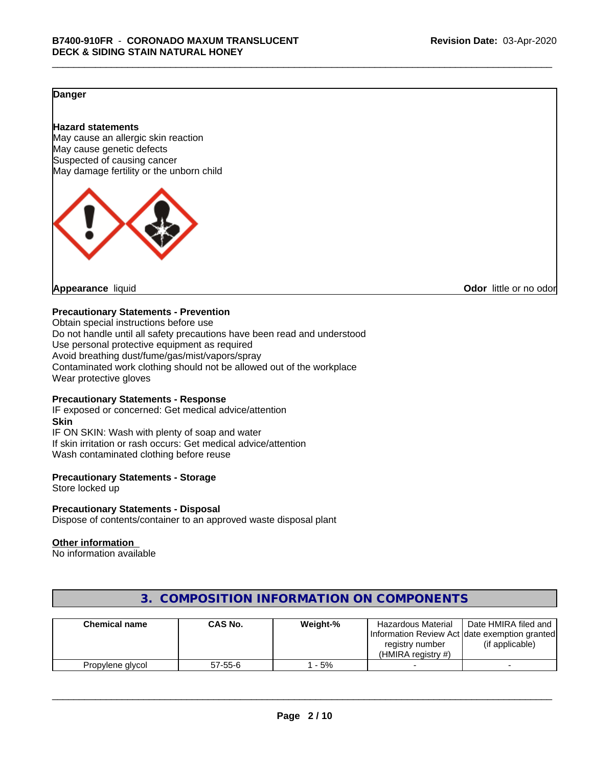#### **Danger**

#### **Hazard statements**

May cause an allergic skin reaction May cause genetic defects Suspected of causing cancer May damage fertility or the unborn child



**Appearance** liquid **CODO** *Appearance liquid* **Odor** *CODO CODO* **<b>***CODO CODO CODO CODO CODO* 

#### **Precautionary Statements - Prevention**

Obtain special instructions before use Do not handle until all safety precautions have been read and understood Use personal protective equipment as required Avoid breathing dust/fume/gas/mist/vapors/spray Contaminated work clothing should not be allowed out of the workplace Wear protective gloves

#### **Precautionary Statements - Response**

IF exposed or concerned: Get medical advice/attention **Skin** IF ON SKIN: Wash with plenty of soap and water If skin irritation or rash occurs: Get medical advice/attention Wash contaminated clothing before reuse

#### **Precautionary Statements - Storage**

Store locked up

#### **Precautionary Statements - Disposal**

Dispose of contents/container to an approved waste disposal plant

#### **Other information**

No information available

| <b>Chemical name</b> | CAS No.       | Weight-% | <b>Hazardous Material</b><br>registry number<br>(HMIRA reaistry #) | Date HMIRA filed and<br>Information Review Act Idate exemption granted<br>(if applicable) |
|----------------------|---------------|----------|--------------------------------------------------------------------|-------------------------------------------------------------------------------------------|
| Propylene glycol     | $57 - 55 - 6$ | - 5%     |                                                                    |                                                                                           |

# **3. COMPOSITION INFORMATION ON COMPONENTS**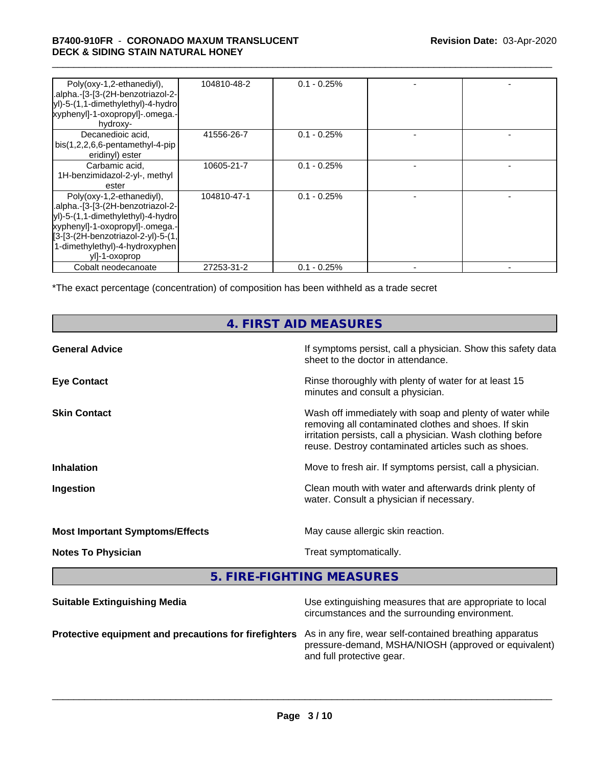#### \_\_\_\_\_\_\_\_\_\_\_\_\_\_\_\_\_\_\_\_\_\_\_\_\_\_\_\_\_\_\_\_\_\_\_\_\_\_\_\_\_\_\_\_\_\_\_\_\_\_\_\_\_\_\_\_\_\_\_\_\_\_\_\_\_\_\_\_\_\_\_\_\_\_\_\_\_\_\_\_\_\_\_\_\_\_\_\_\_\_\_\_\_ **B7400-910FR** - **CORONADO MAXUM TRANSLUCENT DECK & SIDING STAIN NATURAL HONEY**

| Poly(oxy-1,2-ethanediyl),<br>.alpha.-[3-[3-(2H-benzotriazol-2-<br>yl)-5-(1,1-dimethylethyl)-4-hydro<br>xyphenyl]-1-oxopropyl]-.omega.-<br>hydroxy-                                                                              | 104810-48-2 | $0.1 - 0.25\%$ |  |
|---------------------------------------------------------------------------------------------------------------------------------------------------------------------------------------------------------------------------------|-------------|----------------|--|
| Decanedioic acid,<br>$bis(1,2,2,6,6-pentamentlyl-4-pip)$<br>eridinyl) ester                                                                                                                                                     | 41556-26-7  | $0.1 - 0.25\%$ |  |
| Carbamic acid,<br>1H-benzimidazol-2-yl-, methyl<br>ester                                                                                                                                                                        | 10605-21-7  | $0.1 - 0.25%$  |  |
| Poly(oxy-1,2-ethanediyl),<br>.alpha.-[3-[3-(2H-benzotriazol-2-<br>yl)-5-(1,1-dimethylethyl)-4-hydro<br>xyphenyl]-1-oxopropyl]-.omega.-<br>[3-[3-(2H-benzotriazol-2-yl)-5-(1,<br>1-dimethylethyl)-4-hydroxyphen<br>yll-1-oxoprop | 104810-47-1 | $0.1 - 0.25%$  |  |
| Cobalt neodecanoate                                                                                                                                                                                                             | 27253-31-2  | $0.1 - 0.25%$  |  |

\*The exact percentage (concentration) of composition has been withheld as a trade secret

# **4. FIRST AID MEASURES**

| <b>General Advice</b>                  | If symptoms persist, call a physician. Show this safety data<br>sheet to the doctor in attendance.                                                                                                                                     |
|----------------------------------------|----------------------------------------------------------------------------------------------------------------------------------------------------------------------------------------------------------------------------------------|
| <b>Eye Contact</b>                     | Rinse thoroughly with plenty of water for at least 15<br>minutes and consult a physician.                                                                                                                                              |
| <b>Skin Contact</b>                    | Wash off immediately with soap and plenty of water while<br>removing all contaminated clothes and shoes. If skin<br>irritation persists, call a physician. Wash clothing before<br>reuse. Destroy contaminated articles such as shoes. |
| <b>Inhalation</b>                      | Move to fresh air. If symptoms persist, call a physician.                                                                                                                                                                              |
| Ingestion                              | Clean mouth with water and afterwards drink plenty of<br>water. Consult a physician if necessary.                                                                                                                                      |
| <b>Most Important Symptoms/Effects</b> | May cause allergic skin reaction.                                                                                                                                                                                                      |
| <b>Notes To Physician</b>              | Treat symptomatically.                                                                                                                                                                                                                 |
|                                        |                                                                                                                                                                                                                                        |

**5. FIRE-FIGHTING MEASURES**

| <b>Suitable Extinguishing Media</b>                                                                           | Use extinguishing measures that are appropriate to local<br>circumstances and the surrounding environment. |
|---------------------------------------------------------------------------------------------------------------|------------------------------------------------------------------------------------------------------------|
| Protective equipment and precautions for firefighters As in any fire, wear self-contained breathing apparatus | pressure-demand, MSHA/NIOSH (approved or equivalent)<br>and full protective gear.                          |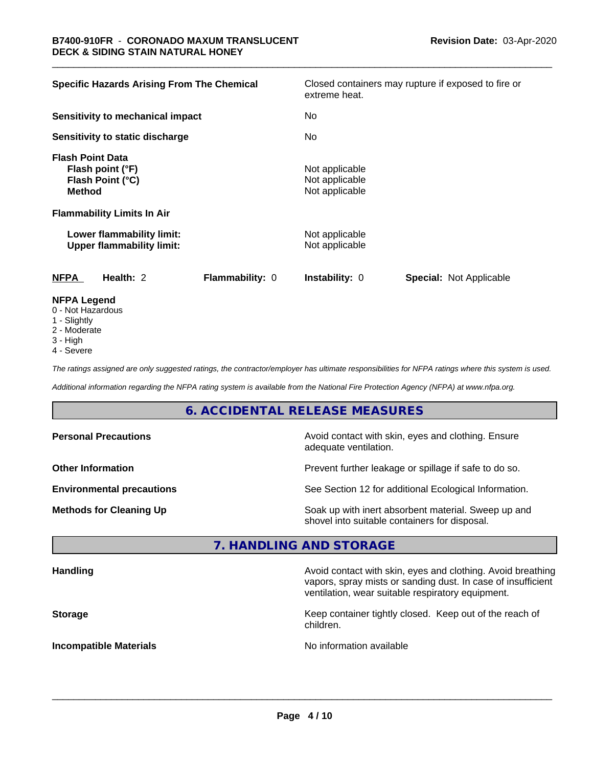| <b>Specific Hazards Arising From The Chemical</b>                                | Closed containers may rupture if exposed to fire or<br>extreme heat. |
|----------------------------------------------------------------------------------|----------------------------------------------------------------------|
| Sensitivity to mechanical impact                                                 | No.                                                                  |
| Sensitivity to static discharge                                                  | No.                                                                  |
| <b>Flash Point Data</b><br>Flash point (°F)<br>Flash Point (°C)<br><b>Method</b> | Not applicable<br>Not applicable<br>Not applicable                   |
| <b>Flammability Limits In Air</b>                                                |                                                                      |
| Lower flammability limit:<br><b>Upper flammability limit:</b>                    | Not applicable<br>Not applicable                                     |
| <b>NFPA</b><br>Health: 2<br><b>Flammability: 0</b>                               | <b>Instability: 0</b><br><b>Special: Not Applicable</b>              |
| <b>NFPA Legend</b><br>$0$ Not Horordoug                                          |                                                                      |

- 0 Not Hazardous
- 1 Slightly
- 2 Moderate
- 3 High
- 4 Severe

*The ratings assigned are only suggested ratings, the contractor/employer has ultimate responsibilities for NFPA ratings where this system is used.*

*Additional information regarding the NFPA rating system is available from the National Fire Protection Agency (NFPA) at www.nfpa.org.*

# **6. ACCIDENTAL RELEASE MEASURES**

| <b>Personal Precautions</b>      | Avoid contact with skin, eyes and clothing. Ensure<br>adequate ventilation.                          |
|----------------------------------|------------------------------------------------------------------------------------------------------|
| <b>Other Information</b>         | Prevent further leakage or spillage if safe to do so.                                                |
| <b>Environmental precautions</b> | See Section 12 for additional Ecological Information.                                                |
| <b>Methods for Cleaning Up</b>   | Soak up with inert absorbent material. Sweep up and<br>shovel into suitable containers for disposal. |

#### **7. HANDLING AND STORAGE**

| <b>Handling</b>               | Avoid contact with skin, eyes and clothing. Avoid breathing<br>vapors, spray mists or sanding dust. In case of insufficient<br>ventilation, wear suitable respiratory equipment. |
|-------------------------------|----------------------------------------------------------------------------------------------------------------------------------------------------------------------------------|
| <b>Storage</b>                | Keep container tightly closed. Keep out of the reach of<br>children.                                                                                                             |
| <b>Incompatible Materials</b> | No information available                                                                                                                                                         |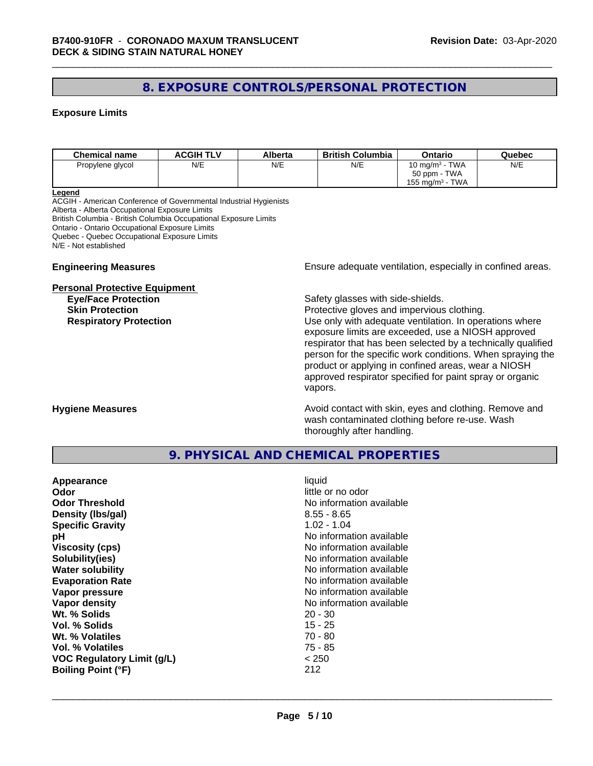# **8. EXPOSURE CONTROLS/PERSONAL PROTECTION**

#### **Exposure Limits**

| <b>Chemical name</b> | <b>ACGIH TLV</b> | Alberta | <b>British Columbia</b> | Ontario                       | Quebec |
|----------------------|------------------|---------|-------------------------|-------------------------------|--------|
| Propylene glycol     | N/E              | N/E     | N/E                     | 10 mg/m $3$ - TWA             | N/E    |
|                      |                  |         |                         | 50 ppm - TWA                  |        |
|                      |                  |         |                         | TWA<br>$155 \text{ mg/m}^3$ - |        |

#### **Legend**

ACGIH - American Conference of Governmental Industrial Hygienists Alberta - Alberta Occupational Exposure Limits British Columbia - British Columbia Occupational Exposure Limits Ontario - Ontario Occupational Exposure Limits Quebec - Quebec Occupational Exposure Limits N/E - Not established

#### **Personal Protective Equipment**

**Engineering Measures Ensure** Ensure adequate ventilation, especially in confined areas.

**Eye/Face Protection Safety glasses with side-shields.** 

**Skin Protection Protection Protective gloves and impervious clothing. Respiratory Protection Exercise 2018** Use only with adequate ventilation. In operations where exposure limits are exceeded, use a NIOSH approved respirator that has been selected by a technically qualified person for the specific work conditions. When spraying the product or applying in confined areas, wear a NIOSH approved respirator specified for paint spray or organic vapors.

**Hygiene Measures Avoid contact with skin, eyes and clothing. Remove and Avoid contact with skin, eyes and clothing. Remove and Avoid contact with skin, eyes and clothing. Remove and** wash contaminated clothing before re-use. Wash thoroughly after handling.

#### **9. PHYSICAL AND CHEMICAL PROPERTIES**

| Appearance<br>Odor<br><b>Odor Threshold</b><br>Density (Ibs/gal)<br><b>Specific Gravity</b><br>рH<br><b>Viscosity (cps)</b><br>Solubility(ies)<br><b>Water solubility</b><br><b>Evaporation Rate</b><br>Vapor pressure<br>Vapor density<br>Wt. % Solids<br>Vol. % Solids<br>Wt. % Volatiles<br>Vol. % Volatiles | liquid<br>little or no odor<br>No information available<br>$8.55 - 8.65$<br>$1.02 - 1.04$<br>No information available<br>No information available<br>No information available<br>No information available<br>No information available<br>No information available<br>No information available<br>$20 - 30$<br>$15 - 25$<br>$70 - 80$<br>$75 - 85$<br>< 250 |
|-----------------------------------------------------------------------------------------------------------------------------------------------------------------------------------------------------------------------------------------------------------------------------------------------------------------|------------------------------------------------------------------------------------------------------------------------------------------------------------------------------------------------------------------------------------------------------------------------------------------------------------------------------------------------------------|
| <b>VOC Regulatory Limit (g/L)</b><br><b>Boiling Point (°F)</b>                                                                                                                                                                                                                                                  | 212                                                                                                                                                                                                                                                                                                                                                        |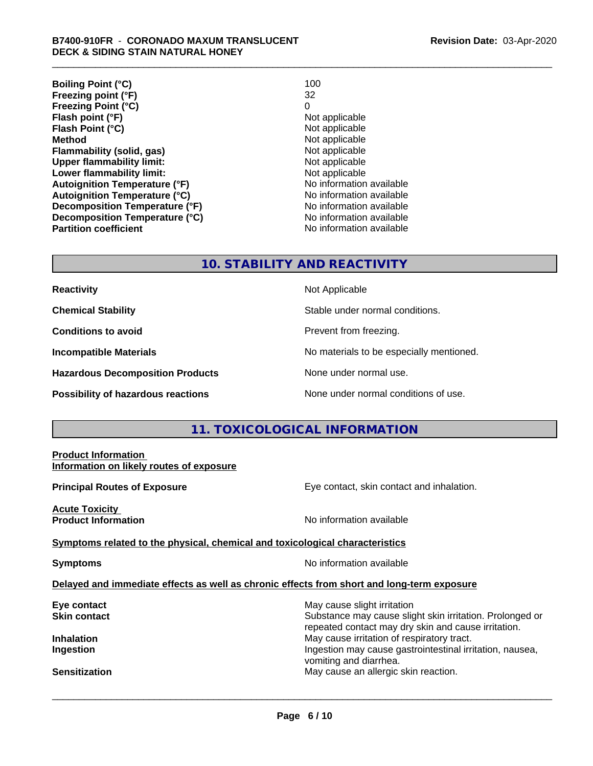| <b>Boiling Point (°C)</b>            | 100                      |
|--------------------------------------|--------------------------|
| Freezing point (°F)                  | 32                       |
| <b>Freezing Point (°C)</b>           | 0                        |
| Flash point (°F)                     | Not applicable           |
| Flash Point (°C)                     | Not applicable           |
| <b>Method</b>                        | Not applicable           |
| Flammability (solid, gas)            | Not applicable           |
| <b>Upper flammability limit:</b>     | Not applicable           |
| Lower flammability limit:            | Not applicable           |
| <b>Autoignition Temperature (°F)</b> | No information available |
| <b>Autoignition Temperature (°C)</b> | No information available |
| Decomposition Temperature (°F)       | No information available |
| Decomposition Temperature (°C)       | No information available |
| <b>Partition coefficient</b>         | No information available |

#### **10. STABILITY AND REACTIVITY**

| <b>Reactivity</b> |  |
|-------------------|--|
|                   |  |

**Hazardous Decomposition Products** None under normal use.

**Not Applicable** 

**Chemical Stability Chemical Stability** Stable under normal conditions.

**Conditions to avoid Conditions reading**.

**Incompatible Materials No materials** No materials to be especially mentioned.

**Possibility of hazardous reactions** None under normal conditions of use.

# **11. TOXICOLOGICAL INFORMATION**

| <b>Product Information</b><br>Information on likely routes of exposure                     |                                                                                                                                                |
|--------------------------------------------------------------------------------------------|------------------------------------------------------------------------------------------------------------------------------------------------|
| <b>Principal Routes of Exposure</b>                                                        | Eye contact, skin contact and inhalation.                                                                                                      |
| Acute Toxicity<br><b>Product Information</b>                                               | No information available                                                                                                                       |
| Symptoms related to the physical, chemical and toxicological characteristics               |                                                                                                                                                |
| <b>Symptoms</b>                                                                            | No information available                                                                                                                       |
| Delayed and immediate effects as well as chronic effects from short and long-term exposure |                                                                                                                                                |
| Eye contact<br>Skin contact                                                                | May cause slight irritation<br>Substance may cause slight skin irritation. Prolonged or<br>repeated contact may dry skin and cause irritation. |
| Inhalation<br>Ingestion                                                                    | May cause irritation of respiratory tract.<br>Ingestion may cause gastrointestinal irritation, nausea,<br>vomiting and diarrhea.               |
| Sensitization                                                                              | May cause an allergic skin reaction.                                                                                                           |
|                                                                                            |                                                                                                                                                |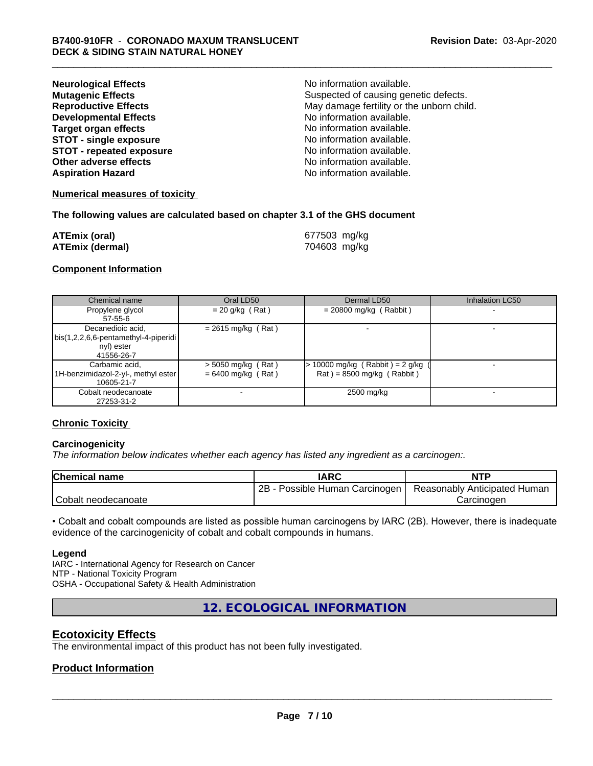| <b>Neurological Effects</b>     | No information available.                 |
|---------------------------------|-------------------------------------------|
| <b>Mutagenic Effects</b>        | Suspected of causing genetic defects.     |
| <b>Reproductive Effects</b>     | May damage fertility or the unborn child. |
| <b>Developmental Effects</b>    | No information available.                 |
| <b>Target organ effects</b>     | No information available.                 |
| <b>STOT - single exposure</b>   | No information available.                 |
| <b>STOT - repeated exposure</b> | No information available.                 |
| Other adverse effects           | No information available.                 |
| <b>Aspiration Hazard</b>        | No information available.                 |

#### **Numerical measures of toxicity**

#### **The following values are calculated based on chapter 3.1 of the GHS document**

| <b>ATEmix (oral)</b>   | 677503 mg/kg |
|------------------------|--------------|
| <b>ATEmix (dermal)</b> | 704603 mg/kg |

#### **Component Information**

| Chemical name                                                                           | Oral LD50                                    | Dermal LD50                                                        | Inhalation LC50 |
|-----------------------------------------------------------------------------------------|----------------------------------------------|--------------------------------------------------------------------|-----------------|
| Propylene glycol<br>57-55-6                                                             | $= 20$ g/kg (Rat)                            | $= 20800$ mg/kg (Rabbit)                                           |                 |
| Decanedioic acid,<br>  bis(1,2,2,6,6-pentamethyl-4-piperidi<br>nyl) ester<br>41556-26-7 | $= 2615$ mg/kg (Rat)                         |                                                                    |                 |
| Carbamic acid,<br>1H-benzimidazol-2-yl-, methyl ester  <br>10605-21-7                   | $>$ 5050 mg/kg (Rat)<br>$= 6400$ mg/kg (Rat) | $> 10000$ mg/kg (Rabbit) = 2 g/kg (<br>$Rat$ = 8500 mg/kg (Rabbit) |                 |
| Cobalt neodecanoate<br>27253-31-2                                                       |                                              | 2500 mg/kg                                                         |                 |

#### **Chronic Toxicity**

#### **Carcinogenicity**

*The information below indicateswhether each agency has listed any ingredient as a carcinogen:.*

| <b>Chemical name</b> | IARC                            | <b>NTP</b>                   |
|----------------------|---------------------------------|------------------------------|
|                      | 2B<br>Possible Human Carcinogen | Reasonably Anticipated Human |
| Cobalt neodecanoate  |                                 | Carcinoder                   |

• Cobalt and cobalt compounds are listed as possible human carcinogens by IARC (2B). However, there is inadequate evidence of the carcinogenicity of cobalt and cobalt compounds in humans.

#### **Legend**

IARC - International Agency for Research on Cancer NTP - National Toxicity Program OSHA - Occupational Safety & Health Administration

**12. ECOLOGICAL INFORMATION**

## **Ecotoxicity Effects**

The environmental impact of this product has not been fully investigated.

#### **Product Information**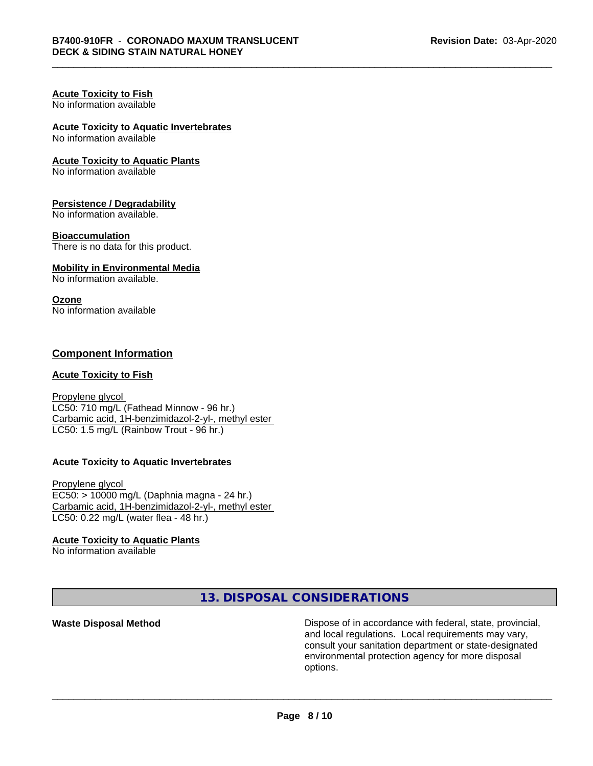#### **Acute Toxicity to Fish** No information available

# **Acute Toxicity to Aquatic Invertebrates**

No information available

#### **Acute Toxicity to Aquatic Plants**

No information available

#### **Persistence / Degradability**

No information available.

#### **Bioaccumulation**

There is no data for this product.

#### **Mobility in Environmental Media**

No information available.

#### **Ozone**

No information available

#### **Component Information**

#### **Acute Toxicity to Fish**

Propylene glycol LC50: 710 mg/L (Fathead Minnow - 96 hr.) Carbamic acid, 1H-benzimidazol-2-yl-, methyl ester LC50: 1.5 mg/L (Rainbow Trout - 96 hr.)

#### **Acute Toxicity to Aquatic Invertebrates**

Propylene glycol EC50: > 10000 mg/L (Daphnia magna - 24 hr.) Carbamic acid, 1H-benzimidazol-2-yl-, methyl ester LC50: 0.22 mg/L (water flea - 48 hr.)

#### **Acute Toxicity to Aquatic Plants**

No information available

**13. DISPOSAL CONSIDERATIONS**

**Waste Disposal Method Dispose of in accordance with federal, state, provincial,** and local regulations. Local requirements may vary, consult your sanitation department or state-designated environmental protection agency for more disposal options.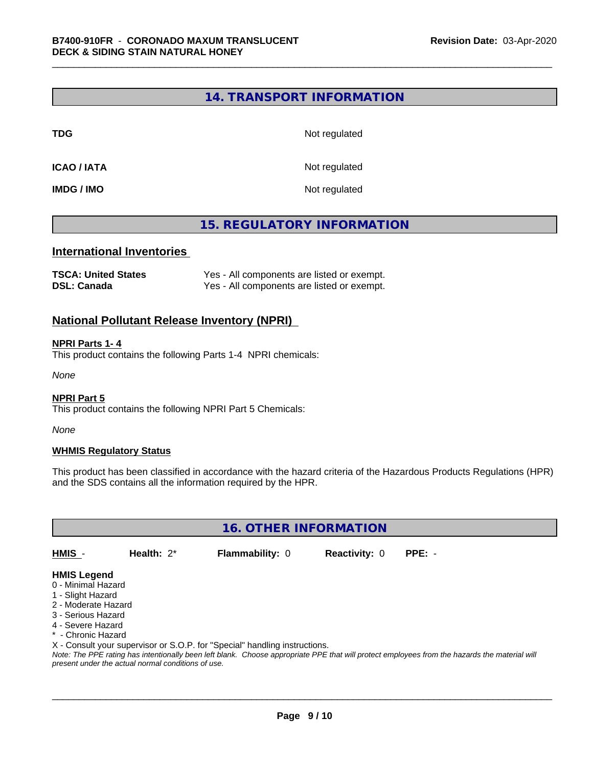### **14. TRANSPORT INFORMATION**

**TDG** Not regulated

**ICAO / IATA** Not regulated

**IMDG / IMO** Not regulated

# **15. REGULATORY INFORMATION**

#### **International Inventories**

| <b>TSCA: United States</b> | Yes - All components are listed or exempt. |
|----------------------------|--------------------------------------------|
| <b>DSL: Canada</b>         | Yes - All components are listed or exempt. |

#### **National Pollutant Release Inventory (NPRI)**

#### **NPRI Parts 1- 4**

This product contains the following Parts 1-4 NPRI chemicals:

*None*

#### **NPRI Part 5**

This product contains the following NPRI Part 5 Chemicals:

*None*

#### **WHMIS Regulatory Status**

This product has been classified in accordance with the hazard criteria of the Hazardous Products Regulations (HPR) and the SDS contains all the information required by the HPR.

**16. OTHER INFORMATION**

**HMIS** - **Health:** 2\* **Flammability:** 0 **Reactivity:** 0 **PPE:** -

### **HMIS Legend**

- 0 Minimal Hazard
- 1 Slight Hazard
- 2 Moderate Hazard
- 3 Serious Hazard
- 4 Severe Hazard
- \* Chronic Hazard

X - Consult your supervisor or S.O.P. for "Special" handling instructions.

*Note: The PPE rating has intentionally been left blank. Choose appropriate PPE that will protect employees from the hazards the material will present under the actual normal conditions of use.*